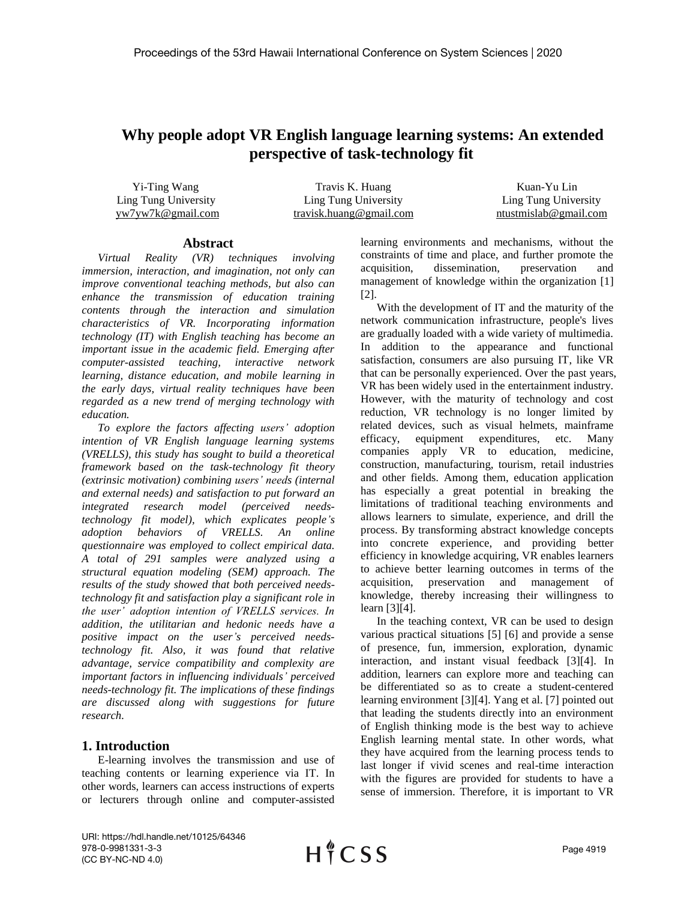# **Why people adopt VR English language learning systems: An extended perspective of task-technology fit**

Yi-Ting Wang Travis K. Huang Travis K. Huang Kuan-Yu Lin Ling Tung University Ling Tung University Ling Tung University yw7yw7k@gmail.com travisk.huang@gmail.com ntustmislab@gmail.com

#### **Abstract**

*Virtual Reality (VR) techniques involving immersion, interaction, and imagination, not only can improve conventional teaching methods, but also can enhance the transmission of education training contents through the interaction and simulation characteristics of VR. Incorporating information technology (IT) with English teaching has become an important issue in the academic field. Emerging after computer-assisted teaching, interactive network learning, distance education, and mobile learning in the early days, virtual reality techniques have been regarded as a new trend of merging technology with education.*

*To explore the factors affecting users' adoption intention of VR English language learning systems (VRELLS), this study has sought to build a theoretical framework based on the task-technology fit theory (extrinsic motivation) combining users' needs (internal and external needs) and satisfaction to put forward an integrated research model (perceived needstechnology fit model), which explicates people's adoption behaviors of VRELLS. An online questionnaire was employed to collect empirical data. A total of 291 samples were analyzed using a structural equation modeling (SEM) approach. The results of the study showed that both perceived needstechnology fit and satisfaction play a significant role in the user' adoption intention of VRELLS services. In addition, the utilitarian and hedonic needs have a positive impact on the user's perceived needstechnology fit. Also, it was found that relative advantage, service compatibility and complexity are important factors in influencing individuals' perceived needs-technology fit. The implications of these findings are discussed along with suggestions for future research.*

### **1. Introduction**

E-learning involves the transmission and use of teaching contents or learning experience via IT. In other words, learners can access instructions of experts or lecturers through online and computer-assisted learning environments and mechanisms, without the constraints of time and place, and further promote the acquisition, dissemination, preservation and management of knowledge within the organization [1] [2].

With the development of IT and the maturity of the network communication infrastructure, people's lives are gradually loaded with a wide variety of multimedia. In addition to the appearance and functional satisfaction, consumers are also pursuing IT, like VR that can be personally experienced. Over the past years, VR has been widely used in the entertainment industry. However, with the maturity of technology and cost reduction, VR technology is no longer limited by related devices, such as visual helmets, mainframe efficacy, equipment expenditures, etc. Many companies apply VR to education, medicine, construction, manufacturing, tourism, retail industries and other fields. Among them, education application has especially a great potential in breaking the limitations of traditional teaching environments and allows learners to simulate, experience, and drill the process. By transforming abstract knowledge concepts into concrete experience, and providing better efficiency in knowledge acquiring, VR enables learners to achieve better learning outcomes in terms of the acquisition, preservation and management of knowledge, thereby increasing their willingness to learn [3][4].

In the teaching context, VR can be used to design various practical situations [5] [6] and provide a sense of presence, fun, immersion, exploration, dynamic interaction, and instant visual feedback [3][4]. In addition, learners can explore more and teaching can be differentiated so as to create a student-centered learning environment [3][4]. Yang et al. [7] pointed out that leading the students directly into an environment of English thinking mode is the best way to achieve English learning mental state. In other words, what they have acquired from the learning process tends to last longer if vivid scenes and real-time interaction with the figures are provided for students to have a sense of immersion. Therefore, it is important to VR

URI: https://hdl.handle.net/10125/64346 978-0-9981331-3-3 (CC BY-NC-ND 4.0)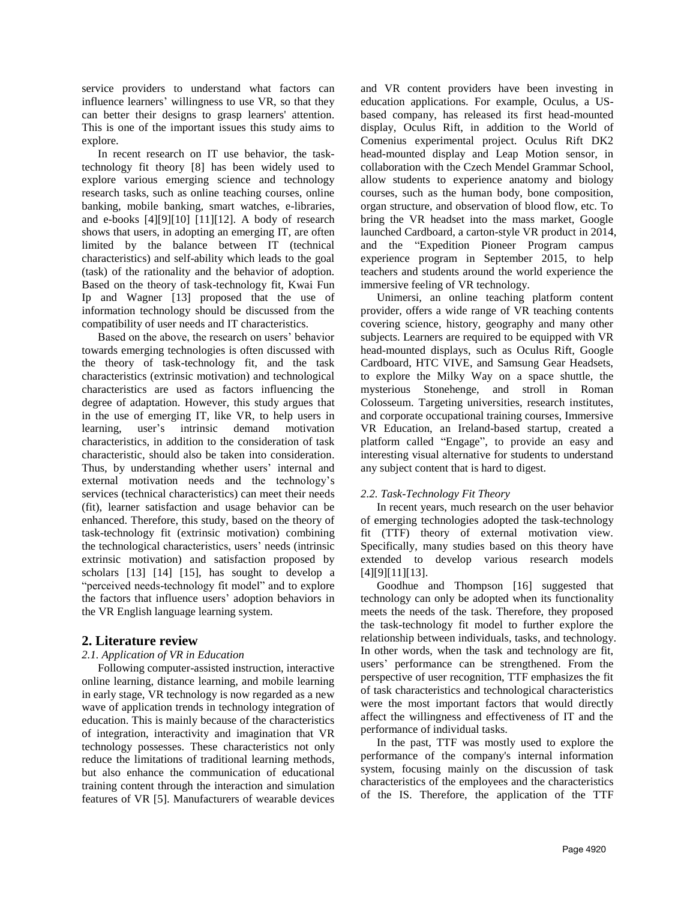service providers to understand what factors can influence learners' willingness to use VR, so that they can better their designs to grasp learners' attention. This is one of the important issues this study aims to explore.

In recent research on IT use behavior, the tasktechnology fit theory [8] has been widely used to explore various emerging science and technology research tasks, such as online teaching courses, online banking, mobile banking, smart watches, e-libraries, and e-books [4][9][10] [11][12]. A body of research shows that users, in adopting an emerging IT, are often limited by the balance between IT (technical characteristics) and self-ability which leads to the goal (task) of the rationality and the behavior of adoption. Based on the theory of task-technology fit, Kwai Fun Ip and Wagner [13] proposed that the use of information technology should be discussed from the compatibility of user needs and IT characteristics.

Based on the above, the research on users' behavior towards emerging technologies is often discussed with the theory of task-technology fit, and the task characteristics (extrinsic motivation) and technological characteristics are used as factors influencing the degree of adaptation. However, this study argues that in the use of emerging IT, like VR, to help users in learning, user's intrinsic demand motivation characteristics, in addition to the consideration of task characteristic, should also be taken into consideration. Thus, by understanding whether users' internal and external motivation needs and the technology's services (technical characteristics) can meet their needs (fit), learner satisfaction and usage behavior can be enhanced. Therefore, this study, based on the theory of task-technology fit (extrinsic motivation) combining the technological characteristics, users' needs (intrinsic extrinsic motivation) and satisfaction proposed by scholars [13] [14] [15], has sought to develop a "perceived needs-technology fit model" and to explore the factors that influence users' adoption behaviors in the VR English language learning system.

### **2. Literature review**

### *2.1. Application of VR in Education*

Following computer-assisted instruction, interactive online learning, distance learning, and mobile learning in early stage, VR technology is now regarded as a new wave of application trends in technology integration of education. This is mainly because of the characteristics of integration, interactivity and imagination that VR technology possesses. These characteristics not only reduce the limitations of traditional learning methods, but also enhance the communication of educational training content through the interaction and simulation features of VR [5]. Manufacturers of wearable devices

and VR content providers have been investing in education applications. For example, Oculus, a USbased company, has released its first head-mounted display, Oculus Rift, in addition to the World of Comenius experimental project. Oculus Rift DK2 head-mounted display and Leap Motion sensor, in collaboration with the Czech Mendel Grammar School, allow students to experience anatomy and biology courses, such as the human body, bone composition, organ structure, and observation of blood flow, etc. To bring the VR headset into the mass market, Google launched Cardboard, a carton-style VR product in 2014, and the "Expedition Pioneer Program campus experience program in September 2015, to help teachers and students around the world experience the immersive feeling of VR technology.

Unimersi, an online teaching platform content provider, offers a wide range of VR teaching contents covering science, history, geography and many other subjects. Learners are required to be equipped with VR head-mounted displays, such as Oculus Rift, Google Cardboard, HTC VIVE, and Samsung Gear Headsets, to explore the Milky Way on a space shuttle, the mysterious Stonehenge, and stroll in Roman Colosseum. Targeting universities, research institutes, and corporate occupational training courses, Immersive VR Education, an Ireland-based startup, created a platform called "Engage", to provide an easy and interesting visual alternative for students to understand any subject content that is hard to digest.

### *2.2. Task-Technology Fit Theory*

In recent years, much research on the user behavior of emerging technologies adopted the task-technology fit (TTF) theory of external motivation view. Specifically, many studies based on this theory have extended to develop various research models [4][9][11][13].

Goodhue and Thompson [16] suggested that technology can only be adopted when its functionality meets the needs of the task. Therefore, they proposed the task-technology fit model to further explore the relationship between individuals, tasks, and technology. In other words, when the task and technology are fit, users' performance can be strengthened. From the perspective of user recognition, TTF emphasizes the fit of task characteristics and technological characteristics were the most important factors that would directly affect the willingness and effectiveness of IT and the performance of individual tasks.

In the past, TTF was mostly used to explore the performance of the company's internal information system, focusing mainly on the discussion of task characteristics of the employees and the characteristics of the IS. Therefore, the application of the TTF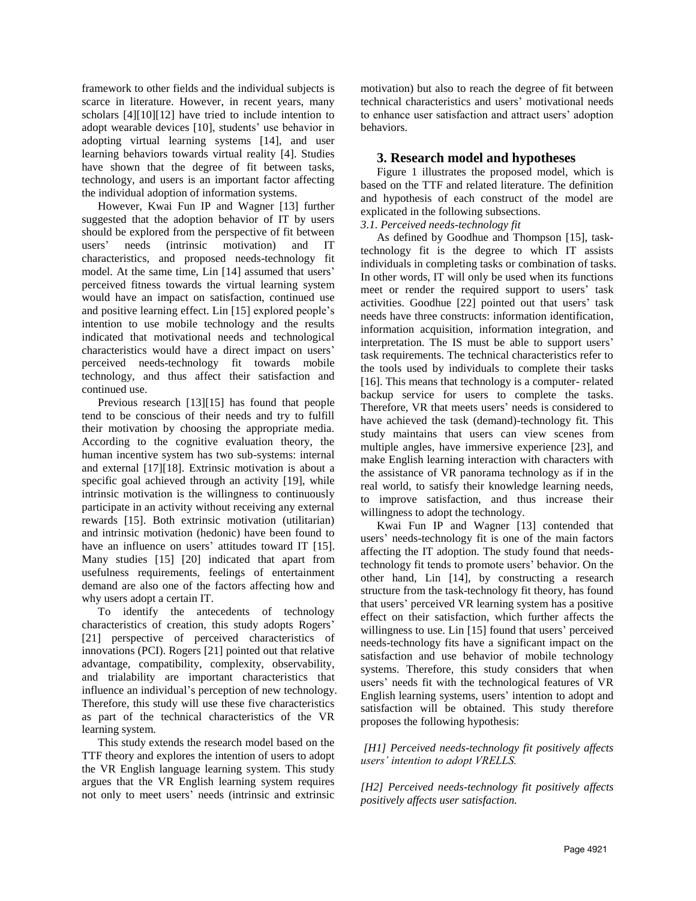framework to other fields and the individual subjects is scarce in literature. However, in recent years, many scholars [4][10][12] have tried to include intention to adopt wearable devices [10], students' use behavior in adopting virtual learning systems [14], and user learning behaviors towards virtual reality [4]. Studies have shown that the degree of fit between tasks, technology, and users is an important factor affecting the individual adoption of information systems.

However, Kwai Fun IP and Wagner [13] further suggested that the adoption behavior of IT by users should be explored from the perspective of fit between users' needs (intrinsic motivation) and IT characteristics, and proposed needs-technology fit model. At the same time, Lin [14] assumed that users' perceived fitness towards the virtual learning system would have an impact on satisfaction, continued use and positive learning effect. Lin [15] explored people's intention to use mobile technology and the results indicated that motivational needs and technological characteristics would have a direct impact on users' perceived needs-technology fit towards mobile technology, and thus affect their satisfaction and continued use.

Previous research [13][15] has found that people tend to be conscious of their needs and try to fulfill their motivation by choosing the appropriate media. According to the cognitive evaluation theory, the human incentive system has two sub-systems: internal and external [17][18]. Extrinsic motivation is about a specific goal achieved through an activity [19], while intrinsic motivation is the willingness to continuously participate in an activity without receiving any external rewards [15]. Both extrinsic motivation (utilitarian) and intrinsic motivation (hedonic) have been found to have an influence on users' attitudes toward IT [15]. Many studies [15] [20] indicated that apart from usefulness requirements, feelings of entertainment demand are also one of the factors affecting how and why users adopt a certain IT.

To identify the antecedents of technology characteristics of creation, this study adopts Rogers' [21] perspective of perceived characteristics of innovations (PCI). Rogers [21] pointed out that relative advantage, compatibility, complexity, observability, and trialability are important characteristics that influence an individual's perception of new technology. Therefore, this study will use these five characteristics as part of the technical characteristics of the VR learning system.

This study extends the research model based on the TTF theory and explores the intention of users to adopt the VR English language learning system. This study argues that the VR English learning system requires not only to meet users' needs (intrinsic and extrinsic

motivation) but also to reach the degree of fit between technical characteristics and users' motivational needs to enhance user satisfaction and attract users' adoption behaviors.

## **3. Research model and hypotheses**

Figure 1 illustrates the proposed model, which is based on the TTF and related literature. The definition and hypothesis of each construct of the model are explicated in the following subsections.

*3.1. Perceived needs-technology fit* 

As defined by Goodhue and Thompson [15], tasktechnology fit is the degree to which IT assists individuals in completing tasks or combination of tasks. In other words, IT will only be used when its functions meet or render the required support to users' task activities. Goodhue [22] pointed out that users' task needs have three constructs: information identification, information acquisition, information integration, and interpretation. The IS must be able to support users' task requirements. The technical characteristics refer to the tools used by individuals to complete their tasks [16]. This means that technology is a computer- related backup service for users to complete the tasks. Therefore, VR that meets users' needs is considered to have achieved the task (demand)-technology fit. This study maintains that users can view scenes from multiple angles, have immersive experience [23], and make English learning interaction with characters with the assistance of VR panorama technology as if in the real world, to satisfy their knowledge learning needs, to improve satisfaction, and thus increase their willingness to adopt the technology.

Kwai Fun IP and Wagner [13] contended that users' needs-technology fit is one of the main factors affecting the IT adoption. The study found that needstechnology fit tends to promote users' behavior. On the other hand, Lin [14], by constructing a research structure from the task-technology fit theory, has found that users' perceived VR learning system has a positive effect on their satisfaction, which further affects the willingness to use. Lin [15] found that users' perceived needs-technology fits have a significant impact on the satisfaction and use behavior of mobile technology systems. Therefore, this study considers that when users' needs fit with the technological features of VR English learning systems, users' intention to adopt and satisfaction will be obtained. This study therefore proposes the following hypothesis:

*[H1] Perceived needs-technology fit positively affects users' intention to adopt VRELLS.* 

*[H2] Perceived needs-technology fit positively affects positively affects user satisfaction.*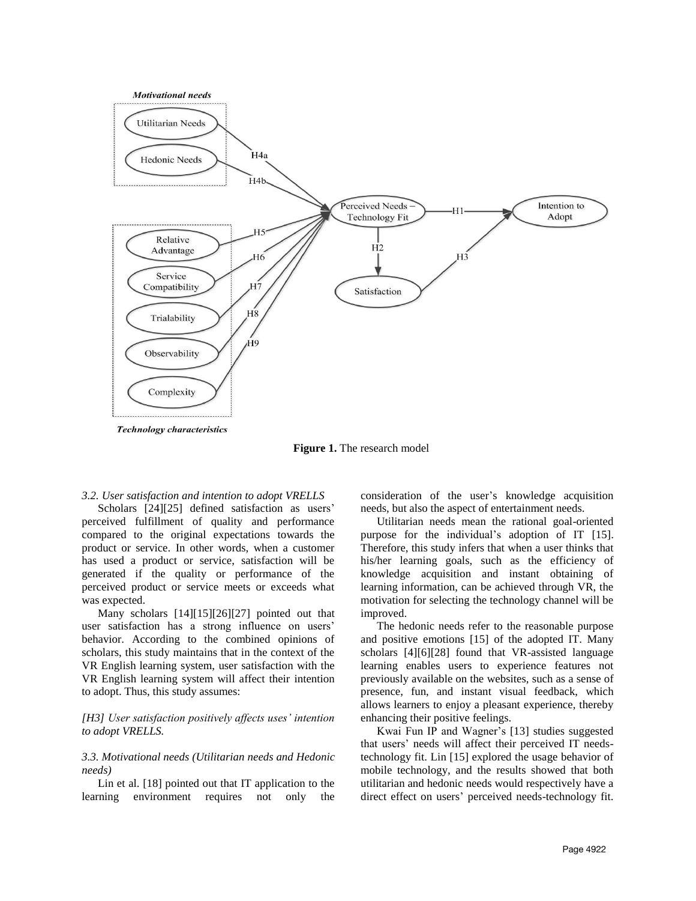

**Figure 1.** The research model

#### *3.2. User satisfaction and intention to adopt VRELLS*

Scholars [24][25] defined satisfaction as users' perceived fulfillment of quality and performance compared to the original expectations towards the product or service. In other words, when a customer has used a product or service, satisfaction will be generated if the quality or performance of the perceived product or service meets or exceeds what was expected.

Many scholars [14][15][26][27] pointed out that user satisfaction has a strong influence on users' behavior. According to the combined opinions of scholars, this study maintains that in the context of the VR English learning system, user satisfaction with the VR English learning system will affect their intention to adopt. Thus, this study assumes:

#### *[H3] User satisfaction positively affects uses' intention to adopt VRELLS.*

#### *3.3. Motivational needs (Utilitarian needs and Hedonic needs)*

Lin et al. [18] pointed out that IT application to the learning environment requires not only the consideration of the user's knowledge acquisition needs, but also the aspect of entertainment needs.

Utilitarian needs mean the rational goal-oriented purpose for the individual's adoption of IT [15]. Therefore, this study infers that when a user thinks that his/her learning goals, such as the efficiency of knowledge acquisition and instant obtaining of learning information, can be achieved through VR, the motivation for selecting the technology channel will be improved.

The hedonic needs refer to the reasonable purpose and positive emotions [15] of the adopted IT. Many scholars [4][6][28] found that VR-assisted language learning enables users to experience features not previously available on the websites, such as a sense of presence, fun, and instant visual feedback, which allows learners to enjoy a pleasant experience, thereby enhancing their positive feelings.

Kwai Fun IP and Wagner's [13] studies suggested that users' needs will affect their perceived IT needstechnology fit. Lin [15] explored the usage behavior of mobile technology, and the results showed that both utilitarian and hedonic needs would respectively have a direct effect on users' perceived needs-technology fit.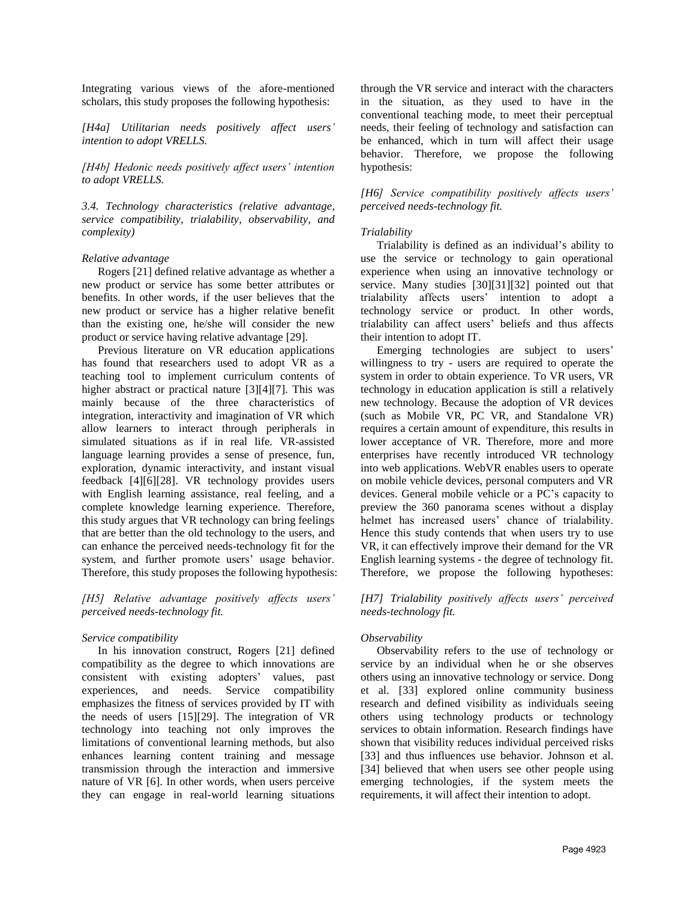Integrating various views of the afore-mentioned scholars, this study proposes the following hypothesis:

*[H4a] Utilitarian needs positively affect users' intention to adopt VRELLS.* 

*[H4b] Hedonic needs positively affect users' intention to adopt VRELLS.* 

*3.4. Technology characteristics (relative advantage, service compatibility, trialability, observability, and complexity)*

#### *Relative advantage*

Rogers [21] defined relative advantage as whether a new product or service has some better attributes or benefits. In other words, if the user believes that the new product or service has a higher relative benefit than the existing one, he/she will consider the new product or service having relative advantage [29].

Previous literature on VR education applications has found that researchers used to adopt VR as a teaching tool to implement curriculum contents of higher abstract or practical nature [3][4][7]. This was mainly because of the three characteristics of integration, interactivity and imagination of VR which allow learners to interact through peripherals in simulated situations as if in real life. VR-assisted language learning provides a sense of presence, fun, exploration, dynamic interactivity, and instant visual feedback [4][6][28]. VR technology provides users with English learning assistance, real feeling, and a complete knowledge learning experience. Therefore, this study argues that VR technology can bring feelings that are better than the old technology to the users, and can enhance the perceived needs-technology fit for the system, and further promote users' usage behavior. Therefore, this study proposes the following hypothesis:

*[H5] Relative advantage positively affects users' perceived needs-technology fit.*

#### *Service compatibility*

In his innovation construct, Rogers [21] defined compatibility as the degree to which innovations are consistent with existing adopters' values, past experiences, and needs. Service compatibility emphasizes the fitness of services provided by IT with the needs of users [15][29]. The integration of VR technology into teaching not only improves the limitations of conventional learning methods, but also enhances learning content training and message transmission through the interaction and immersive nature of VR [6]. In other words, when users perceive they can engage in real-world learning situations

through the VR service and interact with the characters in the situation, as they used to have in the conventional teaching mode, to meet their perceptual needs, their feeling of technology and satisfaction can be enhanced, which in turn will affect their usage behavior. Therefore, we propose the following hypothesis:

*[H6] Service compatibility positively affects users' perceived needs-technology fit.*

#### *Trialability*

Trialability is defined as an individual's ability to use the service or technology to gain operational experience when using an innovative technology or service. Many studies [30][31][32] pointed out that trialability affects users' intention to adopt a technology service or product. In other words, trialability can affect users' beliefs and thus affects their intention to adopt IT.

Emerging technologies are subject to users' willingness to try - users are required to operate the system in order to obtain experience. To VR users, VR technology in education application is still a relatively new technology. Because the adoption of VR devices (such as Mobile VR, PC VR, and Standalone VR) requires a certain amount of expenditure, this results in lower acceptance of VR. Therefore, more and more enterprises have recently introduced VR technology into web applications. WebVR enables users to operate on mobile vehicle devices, personal computers and VR devices. General mobile vehicle or a PC's capacity to preview the 360 panorama scenes without a display helmet has increased users' chance of trialability. Hence this study contends that when users try to use VR, it can effectively improve their demand for the VR English learning systems - the degree of technology fit. Therefore, we propose the following hypotheses:

*[H7] Trialability positively affects users' perceived needs-technology fit.*

### *Observability*

Observability refers to the use of technology or service by an individual when he or she observes others using an innovative technology or service. Dong et al. [33] explored online community business research and defined visibility as individuals seeing others using technology products or technology services to obtain information. Research findings have shown that visibility reduces individual perceived risks [33] and thus influences use behavior. Johnson et al. [34] believed that when users see other people using emerging technologies, if the system meets the requirements, it will affect their intention to adopt.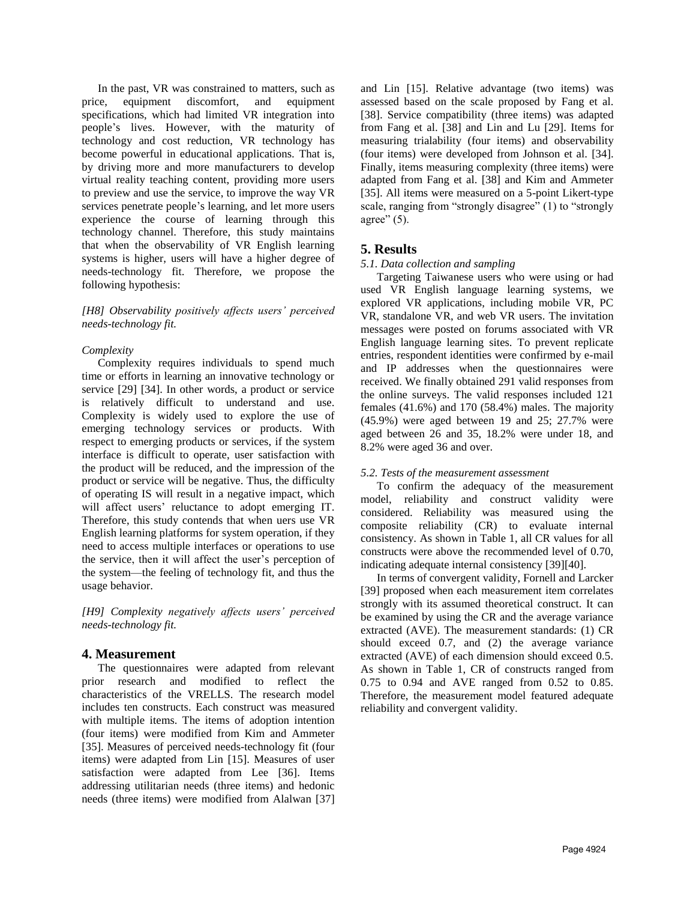In the past, VR was constrained to matters, such as price, equipment discomfort, and equipment specifications, which had limited VR integration into people's lives. However, with the maturity of technology and cost reduction, VR technology has become powerful in educational applications. That is, by driving more and more manufacturers to develop virtual reality teaching content, providing more users to preview and use the service, to improve the way VR services penetrate people's learning, and let more users experience the course of learning through this technology channel. Therefore, this study maintains that when the observability of VR English learning systems is higher, users will have a higher degree of needs-technology fit. Therefore, we propose the following hypothesis:

### *[H8] Observability positively affects users' perceived needs-technology fit.*

### *Complexity*

Complexity requires individuals to spend much time or efforts in learning an innovative technology or service [29] [34]. In other words, a product or service is relatively difficult to understand and use. Complexity is widely used to explore the use of emerging technology services or products. With respect to emerging products or services, if the system interface is difficult to operate, user satisfaction with the product will be reduced, and the impression of the product or service will be negative. Thus, the difficulty of operating IS will result in a negative impact, which will affect users' reluctance to adopt emerging IT. Therefore, this study contends that when uers use VR English learning platforms for system operation, if they need to access multiple interfaces or operations to use the service, then it will affect the user's perception of the system—the feeling of technology fit, and thus the usage behavior.

*[H9] Complexity negatively affects users' perceived needs-technology fit.*

### **4. Measurement**

The questionnaires were adapted from relevant prior research and modified to reflect the characteristics of the VRELLS. The research model includes ten constructs. Each construct was measured with multiple items. The items of adoption intention (four items) were modified from Kim and Ammeter [35]. Measures of perceived needs-technology fit (four items) were adapted from Lin [15]. Measures of user satisfaction were adapted from Lee [36]. Items addressing utilitarian needs (three items) and hedonic needs (three items) were modified from Alalwan [37] and Lin [15]. Relative advantage (two items) was assessed based on the scale proposed by Fang et al. [38]. Service compatibility (three items) was adapted from Fang et al. [38] and Lin and Lu [29]. Items for measuring trialability (four items) and observability (four items) were developed from Johnson et al. [34]. Finally, items measuring complexity (three items) were adapted from Fang et al. [38] and Kim and Ammeter [35]. All items were measured on a 5-point Likert-type scale, ranging from "strongly disagree" (1) to "strongly agree"  $(5)$ .

# **5. Results**

### *5.1. Data collection and sampling*

Targeting Taiwanese users who were using or had used VR English language learning systems, we explored VR applications, including mobile VR, PC VR, standalone VR, and web VR users. The invitation messages were posted on forums associated with VR English language learning sites. To prevent replicate entries, respondent identities were confirmed by e-mail and IP addresses when the questionnaires were received. We finally obtained 291 valid responses from the online surveys. The valid responses included 121 females (41.6%) and 170 (58.4%) males. The majority (45.9%) were aged between 19 and 25; 27.7% were aged between 26 and 35, 18.2% were under 18, and 8.2% were aged 36 and over.

### *5.2. Tests of the measurement assessment*

To confirm the adequacy of the measurement model, reliability and construct validity were considered. Reliability was measured using the composite reliability (CR) to evaluate internal consistency. As shown in Table 1, all CR values for all constructs were above the recommended level of 0.70, indicating adequate internal consistency [39][40].

In terms of convergent validity, Fornell and Larcker [39] proposed when each measurement item correlates strongly with its assumed theoretical construct. It can be examined by using the CR and the average variance extracted (AVE). The measurement standards: (1) CR should exceed 0.7, and (2) the average variance extracted (AVE) of each dimension should exceed 0.5. As shown in Table 1, CR of constructs ranged from 0.75 to 0.94 and AVE ranged from 0.52 to 0.85. Therefore, the measurement model featured adequate reliability and convergent validity.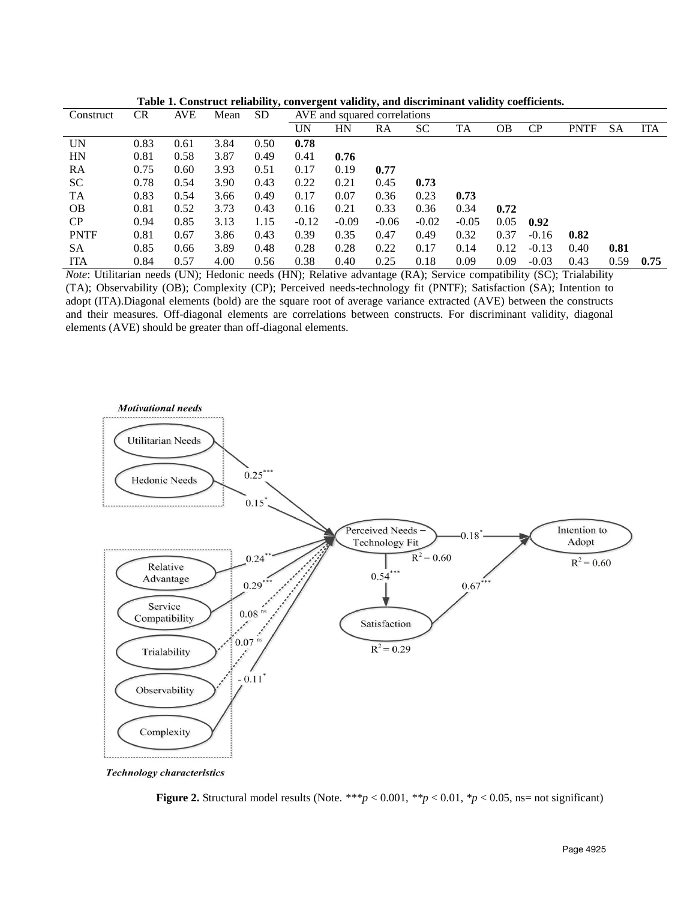| Construct   | <b>CR</b> | <b>AVE</b> | Mean | <b>SD</b> | AVE and squared correlations |         |         |         |         |      |         |             |      |            |
|-------------|-----------|------------|------|-----------|------------------------------|---------|---------|---------|---------|------|---------|-------------|------|------------|
|             |           |            |      |           | UN                           | HN      | RA      | SС      | TA      | OΒ   | CP      | <b>PNTF</b> | SА   | <b>ITA</b> |
| UN          | 0.83      | 0.61       | 3.84 | 0.50      | 0.78                         |         |         |         |         |      |         |             |      |            |
| HN          | 0.81      | 0.58       | 3.87 | 0.49      | 0.41                         | 0.76    |         |         |         |      |         |             |      |            |
| RA          | 0.75      | 0.60       | 3.93 | 0.51      | 0.17                         | 0.19    | 0.77    |         |         |      |         |             |      |            |
| <b>SC</b>   | 0.78      | 0.54       | 3.90 | 0.43      | 0.22                         | 0.21    | 0.45    | 0.73    |         |      |         |             |      |            |
| TA          | 0.83      | 0.54       | 3.66 | 0.49      | 0.17                         | 0.07    | 0.36    | 0.23    | 0.73    |      |         |             |      |            |
| <b>OB</b>   | 0.81      | 0.52       | 3.73 | 0.43      | 0.16                         | 0.21    | 0.33    | 0.36    | 0.34    | 0.72 |         |             |      |            |
| CP          | 0.94      | 0.85       | 3.13 | 1.15      | $-0.12$                      | $-0.09$ | $-0.06$ | $-0.02$ | $-0.05$ | 0.05 | 0.92    |             |      |            |
| <b>PNTF</b> | 0.81      | 0.67       | 3.86 | 0.43      | 0.39                         | 0.35    | 0.47    | 0.49    | 0.32    | 0.37 | $-0.16$ | 0.82        |      |            |
| <b>SA</b>   | 0.85      | 0.66       | 3.89 | 0.48      | 0.28                         | 0.28    | 0.22    | 0.17    | 0.14    | 0.12 | $-0.13$ | 0.40        | 0.81 |            |
| <b>ITA</b>  | 0.84      | 0.57       | 4.00 | 0.56      | 0.38                         | 0.40    | 0.25    | 0.18    | 0.09    | 0.09 | $-0.03$ | 0.43        | 0.59 | 0.75       |

**Table 1. Construct reliability, convergent validity, and discriminant validity coefficients.**

*Note*: Utilitarian needs (UN); Hedonic needs (HN); Relative advantage (RA); Service compatibility (SC); Trialability (TA); Observability (OB); Complexity (CP); Perceived needs-technology fit (PNTF); Satisfaction (SA); Intention to adopt (ITA).Diagonal elements (bold) are the square root of average variance extracted (AVE) between the constructs and their measures. Off-diagonal elements are correlations between constructs. For discriminant validity, diagonal elements (AVE) should be greater than off-diagonal elements.



**Technology characteristics** 

**Figure 2.** Structural model results (Note. \*\*\* $p < 0.001$ , \* $p < 0.01$ , \* $p < 0.05$ , ns= not significant)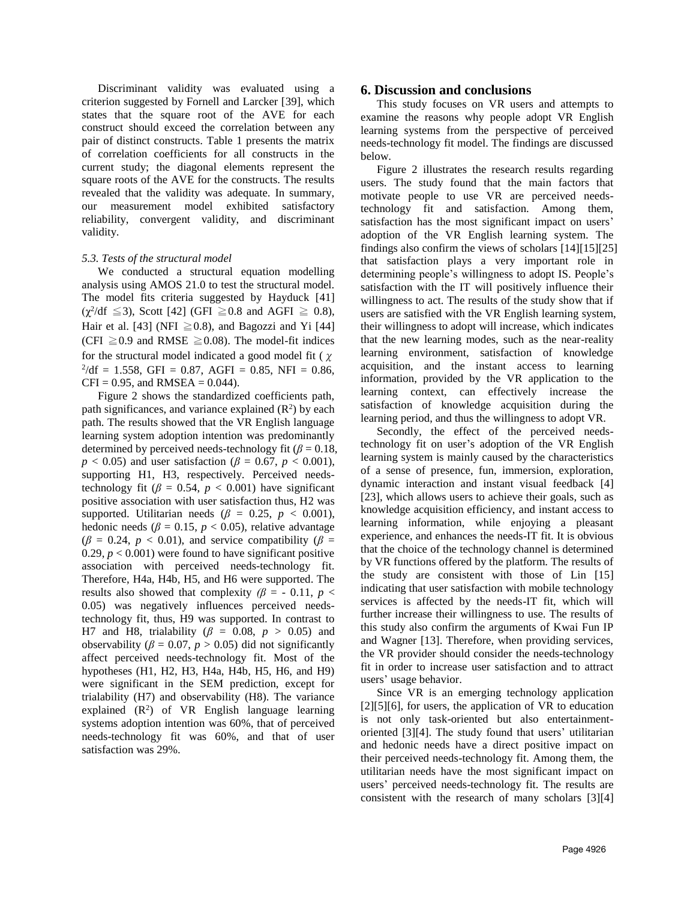Discriminant validity was evaluated using a criterion suggested by Fornell and Larcker [39], which states that the square root of the AVE for each construct should exceed the correlation between any pair of distinct constructs. Table 1 presents the matrix of correlation coefficients for all constructs in the current study; the diagonal elements represent the square roots of the AVE for the constructs. The results revealed that the validity was adequate. In summary, our measurement model exhibited satisfactory reliability, convergent validity, and discriminant validity.

#### *5.3. Tests of the structural model*

We conducted a structural equation modelling analysis using AMOS 21.0 to test the structural model. The model fits criteria suggested by Hayduck [41]  $(\chi^2/\text{df } \leq 3)$ , Scott [42] (GFI  $\geq 0.8$  and AGFI  $\geq 0.8$ ), Hair et al. [43] (NFI  $\geq 0.8$ ), and Bagozzi and Yi [44] (CFI  $\geq$  0.9 and RMSE  $\geq$  0.08). The model-fit indices for the structural model indicated a good model fit ( $\chi$  $^{2}/df = 1.558$ , GFI = 0.87, AGFI = 0.85, NFI = 0.86,  $CFI = 0.95$ , and RMSEA = 0.044).

Figure 2 shows the standardized coefficients path, path significances, and variance explained  $(R^2)$  by each path. The results showed that the VR English language learning system adoption intention was predominantly determined by perceived needs-technology fit ( $\beta$  = 0.18, *p* < 0.05) and user satisfaction ( $\beta$  = 0.67, *p* < 0.001), supporting H1, H3, respectively. Perceived needstechnology fit ( $\beta$  = 0.54,  $p$  < 0.001) have significant positive association with user satisfaction thus, H2 was supported. Utilitarian needs ( $\beta = 0.25$ ,  $p < 0.001$ ), hedonic needs ( $\beta = 0.15$ ,  $p < 0.05$ ), relative advantage  $(\beta = 0.24, p < 0.01)$ , and service compatibility ( $\beta =$ 0.29,  $p < 0.001$ ) were found to have significant positive association with perceived needs-technology fit. Therefore, H4a, H4b, H5, and H6 were supported. The results also showed that complexity  $(\beta = -0.11, p <$ 0.05) was negatively influences perceived needstechnology fit, thus, H9 was supported. In contrast to H7 and H8, trialability ( $\beta$  = 0.08,  $p$  > 0.05) and observability ( $\beta$  = 0.07,  $p$  > 0.05) did not significantly affect perceived needs-technology fit. Most of the hypotheses (H1, H2, H3, H4a, H4b, H5, H6, and H9) were significant in the SEM prediction, except for trialability (H7) and observability (H8). The variance explained  $(R^2)$  of VR English language learning systems adoption intention was 60%, that of perceived needs-technology fit was 60%, and that of user satisfaction was 29%.

#### **6. Discussion and conclusions**

This study focuses on VR users and attempts to examine the reasons why people adopt VR English learning systems from the perspective of perceived needs-technology fit model. The findings are discussed below.

Figure 2 illustrates the research results regarding users. The study found that the main factors that motivate people to use VR are perceived needstechnology fit and satisfaction. Among them, satisfaction has the most significant impact on users' adoption of the VR English learning system. The findings also confirm the views of scholars [14][15][25] that satisfaction plays a very important role in determining people's willingness to adopt IS. People's satisfaction with the IT will positively influence their willingness to act. The results of the study show that if users are satisfied with the VR English learning system, their willingness to adopt will increase, which indicates that the new learning modes, such as the near-reality learning environment, satisfaction of knowledge acquisition, and the instant access to learning information, provided by the VR application to the learning context, can effectively increase the satisfaction of knowledge acquisition during the learning period, and thus the willingness to adopt VR.

Secondly, the effect of the perceived needstechnology fit on user's adoption of the VR English learning system is mainly caused by the characteristics of a sense of presence, fun, immersion, exploration, dynamic interaction and instant visual feedback [4] [23], which allows users to achieve their goals, such as knowledge acquisition efficiency, and instant access to learning information, while enjoying a pleasant experience, and enhances the needs-IT fit. It is obvious that the choice of the technology channel is determined by VR functions offered by the platform. The results of the study are consistent with those of Lin [15] indicating that user satisfaction with mobile technology services is affected by the needs-IT fit, which will further increase their willingness to use. The results of this study also confirm the arguments of Kwai Fun IP and Wagner [13]. Therefore, when providing services, the VR provider should consider the needs-technology fit in order to increase user satisfaction and to attract users' usage behavior.

Since VR is an emerging technology application  $[2][5][6]$ , for users, the application of VR to education is not only task-oriented but also entertainmentoriented [3][4]. The study found that users' utilitarian and hedonic needs have a direct positive impact on their perceived needs-technology fit. Among them, the utilitarian needs have the most significant impact on users' perceived needs-technology fit. The results are consistent with the research of many scholars [3][4]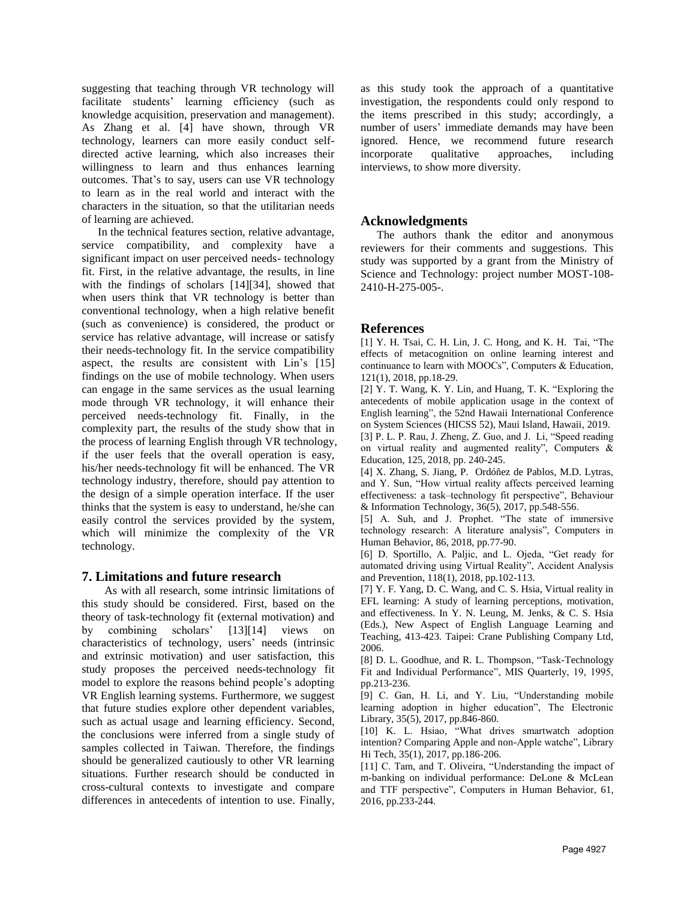suggesting that teaching through VR technology will facilitate students' learning efficiency (such as knowledge acquisition, preservation and management). As Zhang et al. [4] have shown, through VR technology, learners can more easily conduct selfdirected active learning, which also increases their willingness to learn and thus enhances learning outcomes. That's to say, users can use VR technology to learn as in the real world and interact with the characters in the situation, so that the utilitarian needs of learning are achieved.

In the technical features section, relative advantage, service compatibility, and complexity have a significant impact on user perceived needs- technology fit. First, in the relative advantage, the results, in line with the findings of scholars [14][34], showed that when users think that VR technology is better than conventional technology, when a high relative benefit (such as convenience) is considered, the product or service has relative advantage, will increase or satisfy their needs-technology fit. In the service compatibility aspect, the results are consistent with Lin's [15] findings on the use of mobile technology. When users can engage in the same services as the usual learning mode through VR technology, it will enhance their perceived needs-technology fit. Finally, in the complexity part, the results of the study show that in the process of learning English through VR technology, if the user feels that the overall operation is easy, his/her needs-technology fit will be enhanced. The VR technology industry, therefore, should pay attention to the design of a simple operation interface. If the user thinks that the system is easy to understand, he/she can easily control the services provided by the system, which will minimize the complexity of the VR technology.

### **7. Limitations and future research**

As with all research, some intrinsic limitations of this study should be considered. First, based on the theory of task-technology fit (external motivation) and by combining scholars' [13][14] views on characteristics of technology, users' needs (intrinsic and extrinsic motivation) and user satisfaction, this study proposes the perceived needs-technology fit model to explore the reasons behind people's adopting VR English learning systems. Furthermore, we suggest that future studies explore other dependent variables, such as actual usage and learning efficiency. Second, the conclusions were inferred from a single study of samples collected in Taiwan. Therefore, the findings should be generalized cautiously to other VR learning situations. Further research should be conducted in cross-cultural contexts to investigate and compare differences in antecedents of intention to use. Finally, as this study took the approach of a quantitative investigation, the respondents could only respond to the items prescribed in this study; accordingly, a number of users' immediate demands may have been ignored. Hence, we recommend future research incorporate qualitative approaches, including interviews, to show more diversity.

# **Acknowledgments**

The authors thank the editor and anonymous reviewers for their comments and suggestions. This study was supported by a grant from the Ministry of Science and Technology: project number MOST-108- 2410-H-275-005-.

# **References**

[1] Y. H. Tsai, C. H. Lin, J. C. Hong, and K. H. Tai, "The effects of metacognition on online learning interest and continuance to learn with MOOCs", Computers & Education, 121(1), 2018, pp.18-29.

[2] Y. T. Wang, K. Y. Lin, and Huang, T. K. "Exploring the antecedents of mobile application usage in the context of English learning", the 52nd Hawaii International Conference on System Sciences (HICSS 52), Maui Island, Hawaii, 2019.

[3] P. L. P. Rau, J. Zheng, Z. Guo, and J. Li, "Speed reading on virtual reality and augmented reality", Computers & Education, 125, 2018, pp. 240-245.

[4] X. Zhang, S. Jiang, P. Ordóñez de Pablos, M.D. Lytras, and Y. Sun, "How virtual reality affects perceived learning effectiveness: a task–technology fit perspective", Behaviour & Information Technology, 36(5), 2017, pp.548-556.

[5] A. Suh, and J. Prophet. "The state of immersive technology research: A literature analysis", Computers in Human Behavior, 86, 2018, pp.77-90.

[6] D. Sportillo, A. Paljic, and L. Ojeda, "Get ready for automated driving using Virtual Reality", Accident Analysis and Prevention, 118(1), 2018, pp.102-113.

[7] Y. F. Yang, D. C. Wang, and C. S. Hsia, Virtual reality in EFL learning: A study of learning perceptions, motivation, and effectiveness. In Y. N. Leung, M. Jenks, & C. S. Hsia (Eds.), New Aspect of English Language Learning and Teaching, 413-423. Taipei: Crane Publishing Company Ltd, 2006.

[8] D. L. Goodhue, and R. L. Thompson, "Task-Technology Fit and Individual Performance", MIS Quarterly, 19, 1995, pp.213-236.

[9] C. Gan, H. Li, and Y. Liu, "Understanding mobile learning adoption in higher education", The Electronic Library, 35(5), 2017, pp.846-860.

[10] K. L. Hsiao, "What drives smartwatch adoption intention? Comparing Apple and non-Apple watche", Library Hi Tech, 35(1), 2017, pp.186-206.

[11] C. Tam, and T. Oliveira, "Understanding the impact of m-banking on individual performance: DeLone & McLean and TTF perspective", Computers in Human Behavior, 61, 2016, pp.233-244.